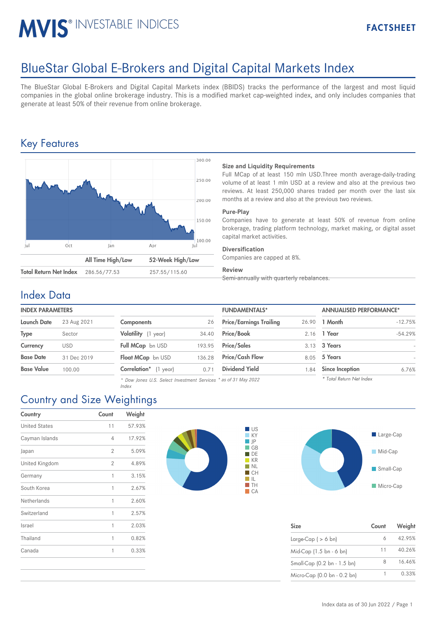# MVIS<sup>®</sup> INVESTABLE INDICES

## BlueStar Global E-Brokers and Digital Capital Markets Index

The BlueStar Global E-Brokers and Digital Capital Markets index (BBIDS) tracks the performance of the largest and most liquid companies in the global online brokerage industry. This is a modified market cap-weighted index, and only includes companies that generate at least 50% of their revenue from online brokerage.

## Key Features



#### **Size and Liquidity Requirements**

Full MCap of at least 150 mln USD.Three month average-daily-trading volume of at least 1 mln USD at a review and also at the previous two reviews. At least 250,000 shares traded per month over the last six months at a review and also at the previous two reviews.

#### **Pure-Play**

Companies have to generate at least 50% of revenue from online brokerage, trading platform technology, market making, or digital asset capital market activities.

#### **Diversification**

Companies are capped at 8%.

#### **Review**

Semi-annually with quarterly rebalances.

### Index Data

#### **INDEX PARAMETERS**

| <b>Launch Date</b> | 23 Aug 2021 |
|--------------------|-------------|
| <b>Type</b>        | Sector      |
| Currency           | USD         |
| <b>Base Date</b>   | 31 Dec 2019 |
| <b>Base Value</b>  | 100.00      |

| <b>Components</b>     | 26     |
|-----------------------|--------|
| Volatility (1 year)   | 34.40  |
| Full MCap bn USD      | 193.95 |
| Float MCap bn USD     | 136.28 |
| Correlation* (1 year) | 0.71   |

*\* Dow Jones U.S. Select Investment Services \* as of 31 May 2022*

| <b>INDEX PARAMETERS</b> |             |                                                                  |        | <b>FUNDAMENTALS*</b>           |       | <b>ANNUALISED PERFORMANCE*</b> |           |
|-------------------------|-------------|------------------------------------------------------------------|--------|--------------------------------|-------|--------------------------------|-----------|
| Launch Date             | 23 Aug 2021 | <b>Components</b>                                                | 26     | <b>Price/Earnings Trailing</b> | 26.90 | 1 Month                        | $-12.75%$ |
| Type                    | Sector      | Volatility (1 year)                                              | 34.40  | <b>Price/Book</b>              |       | 2.16 1 Year                    | $-54.29%$ |
| Currency                | <b>USD</b>  | Full MCap bn USD                                                 | 193.95 | <b>Price/Sales</b>             |       | 3.13 3 Years                   |           |
| Base Date               | 31 Dec 2019 | Float MCap bn USD                                                | 136.28 | <b>Price/Cash Flow</b>         | 8.05  | 5 Years                        |           |
| Base Value              | 100.00      | Correlation* (1 year)                                            | 0.71   | <b>Dividend Yield</b>          | 1.84  | <b>Since Inception</b>         | 6.76%     |
|                         |             | * Dow Jones II.S. Select Investment Services * as of 31 May 2022 |        |                                |       | * Total Return Net Index       |           |



*Index*

| Country              | Count          | Weight |
|----------------------|----------------|--------|
| <b>United States</b> | 11             | 57.93% |
| Cayman Islands       | 4              | 17.92% |
| Japan                | $\overline{2}$ | 5.09%  |
| United Kingdom       | $\overline{2}$ | 4.89%  |
| Germany              | 1              | 3.15%  |
| South Korea          | 1              | 2.67%  |
| Netherlands          | 1              | 2.60%  |
| Switzerland          | 1              | 2.57%  |
| Israel               | 1              | 2.03%  |
| Thailand             | 1              | 0.82%  |
| Canada               | 1              | 0.33%  |
|                      |                |        |





| <b>Size</b>                 | Count | Weight |
|-----------------------------|-------|--------|
| Large-Cap $( > 6$ bn)       | 6     | 42.95% |
| Mid-Cap (1.5 bn - 6 bn)     | 11    | 40.26% |
| Small-Cap (0.2 bn - 1.5 bn) | 8     | 16.46% |
| Micro-Cap (0.0 bn - 0.2 bn) |       | 0.33%  |